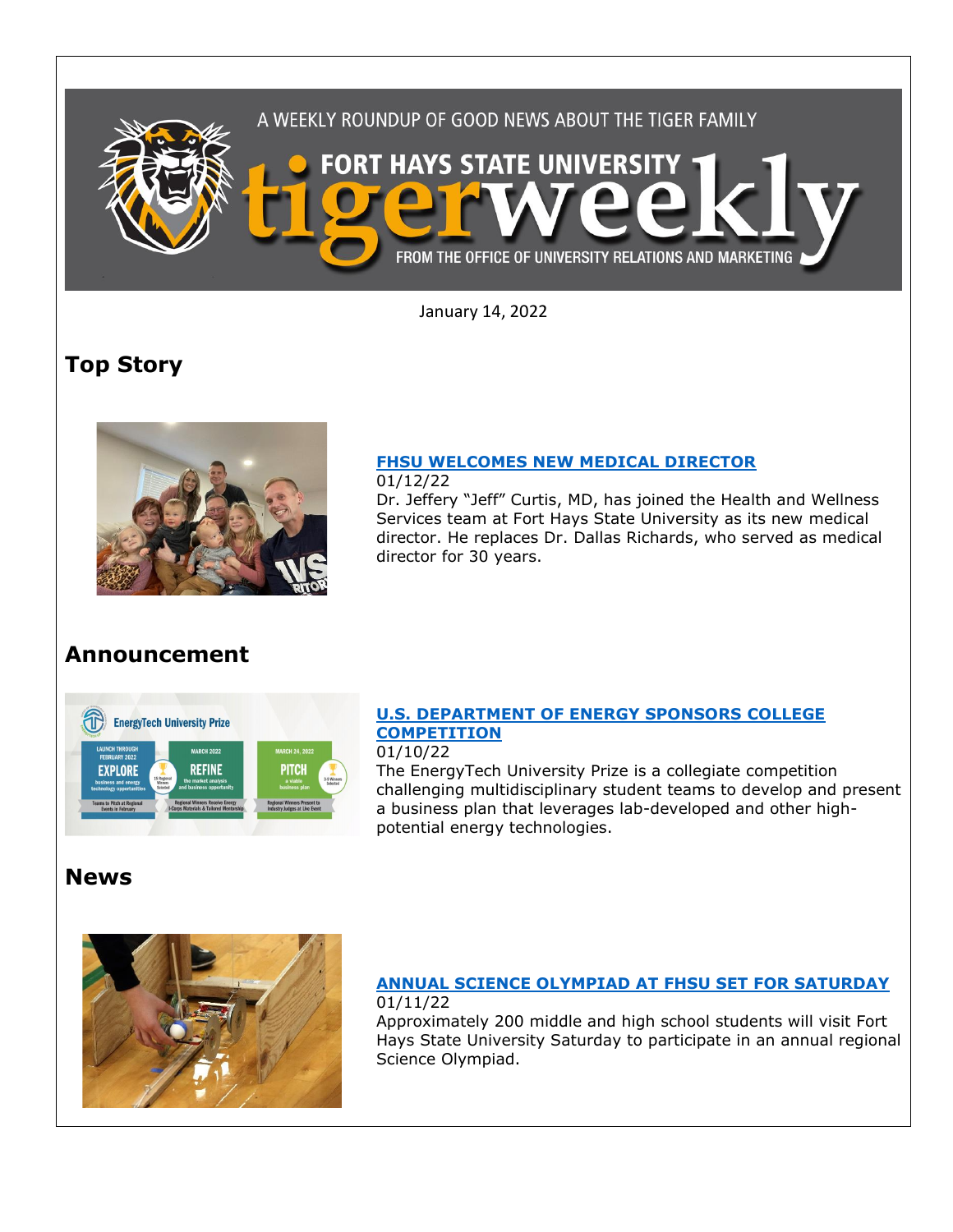

January 14, 2022

director for 30 years.

# **Top Story**



### **[FHSU WELCOMES NEW MEDICAL DIRECTOR](https://www.fhsu.edu/news/2022/01/fhsu-welcomes-new-medical-director)**

01/12/22 Dr. Jeffery "Jeff" Curtis, MD, has joined the Health and Wellness Services team at Fort Hays State University as its new medical director. He replaces Dr. Dallas Richards, who served as medical

# **Announcement**



### **[U.S. DEPARTMENT OF ENERGY SPONSORS COLLEGE](https://www.energy.gov/technologytransitions/energytech-university-prize?utm_source=prize+team&utm_medium=faculty+email&utm_campaign=prize+outreach&utm_term=energytech+up)  [COMPETITION](https://www.energy.gov/technologytransitions/energytech-university-prize?utm_source=prize+team&utm_medium=faculty+email&utm_campaign=prize+outreach&utm_term=energytech+up)**

01/10/22

The EnergyTech University Prize is a collegiate competition challenging multidisciplinary student teams to develop and present a business plan that leverages lab-developed and other highpotential energy technologies.

# **News**



#### **[ANNUAL SCIENCE OLYMPIAD AT FHSU SET FOR SATURDAY](https://www.fhsu.edu/news/2022/01/annual-science-olympiad-at-fhsu-set-for-saturday)** 01/11/22

Approximately 200 middle and high school students will visit Fort Hays State University Saturday to participate in an annual regional Science Olympiad.